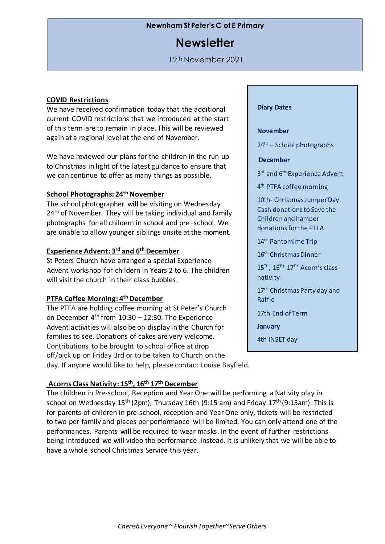# **Newnham St Peter's C of E Primary**

# **Newsletter**

12th November 2021

#### **COVID Restrictions**

We have received confirmation today that the additional current COVID restrictions that we introduced at the start of this term are to remain in place. This will be reviewed again at a regional level at the end of November.

We have reviewed our plans for the children in the run up to Christmas in light of the latest guidance to ensure that we can continue to offer as many things as possible.

### **School Photographs: 24th November**

The school photographer will be visiting on Wednesday 24<sup>th</sup> of November. They will be taking individual and family photographs for all childern in school and pre–school. We are unable to allow younger siblings onsite at the moment.

# **Experience Advent: 3 rd and 6th December**

St Peters Church have arranged a special Experience Advent workshop for childern in Years 2 to 6. The children will visit the church in their class bubbles.

#### **PTFA Coffee Morning: 4 th December**

The PTFA are holding coffee morning at St Peter's Church on December  $4<sup>th</sup>$  from 10:30 – 12:30. The Experience Advent activities will also be on display in the Church for families to see. Donations of cakes are very welcome. Contributions to be brought to school office at drop off/pick up on Friday 3rd or to be taken to Church on the day. If anyone would like to help, please contact Louise Bayfield.

# **November**

**Diary Dates**

 $24<sup>th</sup>$  – School photographs

**December**

3<sup>rd</sup> and 6<sup>th</sup> Experience Advent

4 th PTFA coffee morning

10th- Christmas Jumper Day. Cash donations to Save the Children and hamper donationsfor the PTFA

14<sup>th</sup> Pantomime Trip

16<sup>th</sup> Christmas Dinner

15TH, 16TH 17TH Acorn's class nativity

17<sup>th</sup> Christmas Party day and Raffle

17th End of Term

th Start of term 3

**January**

5

4th INSET day

#### **Acorns Class Nativity: 15th, 16th 17th December**

The children in Pre-school, Reception and Year One will be performing a Nativity play in school on Wednesday 15<sup>th</sup> (2pm), Thursday 16th (9:15 am) and Friday 17<sup>th</sup> (9:15am). This is for parents of children in pre-school, reception and Year One only, tickets will be restricted to two per family and places per performance will be limited. You can only attend one of the performances. Parents will be required to wear masks. In the event of further restrictions being introduced we will video the performance instead. It is unlikely that we will be able to have a whole school Christmas Service this year.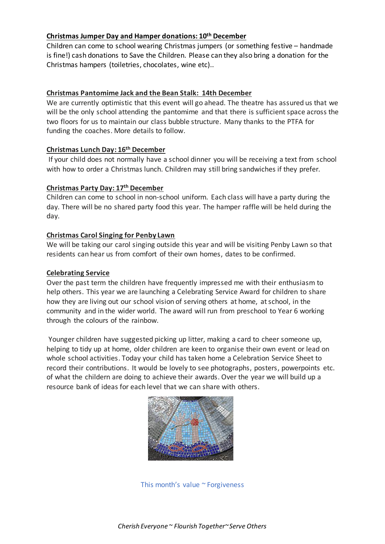# **Christmas Jumper Day and Hamper donations: 10th December**

Children can come to school wearing Christmas jumpers (or something festive – handmade is fine!) cash donations to Save the Children. Please can they also bring a donation for the Christmas hampers (toiletries, chocolates, wine etc)..

## **Christmas Pantomime Jack and the Bean Stalk: 14th December**

We are currently optimistic that this event will go ahead. The theatre has assured us that we will be the only school attending the pantomime and that there is sufficient space across the two floors for us to maintain our class bubble structure. Many thanks to the PTFA for funding the coaches. More details to follow.

# **Christmas Lunch Day: 16th December**

If your child does not normally have a school dinner you will be receiving a text from school with how to order a Christmas lunch. Children may still bring sandwiches if they prefer.

## **Christmas Party Day: 17th December**

Children can come to school in non-school uniform. Each class will have a party during the day. There will be no shared party food this year. The hamper raffle will be held during the day.

## **Christmas Carol Singing for Penby Lawn**

We will be taking our carol singing outside this year and will be visiting Penby Lawn so that residents can hear us from comfort of their own homes, dates to be confirmed.

#### **Celebrating Service**

Over the past term the children have frequently impressed me with their enthusiasm to help others. This year we are launching a Celebrating Service Award for children to share how they are living out our school vision of serving others at home, at school, in the community and in the wider world. The award will run from preschool to Year 6 working through the colours of the rainbow.

Younger children have suggested picking up litter, making a card to cheer someone up, helping to tidy up at home, older children are keen to organise their own event or lead on whole school activities. Today your child has taken home a Celebration Service Sheet to record their contributions. It would be lovely to see photographs, posters, powerpoints etc. of what the childern are doing to achieve their awards. Over the year we will build up a resource bank of ideas for each level that we can share with others.



This month's value ~ Forgiveness